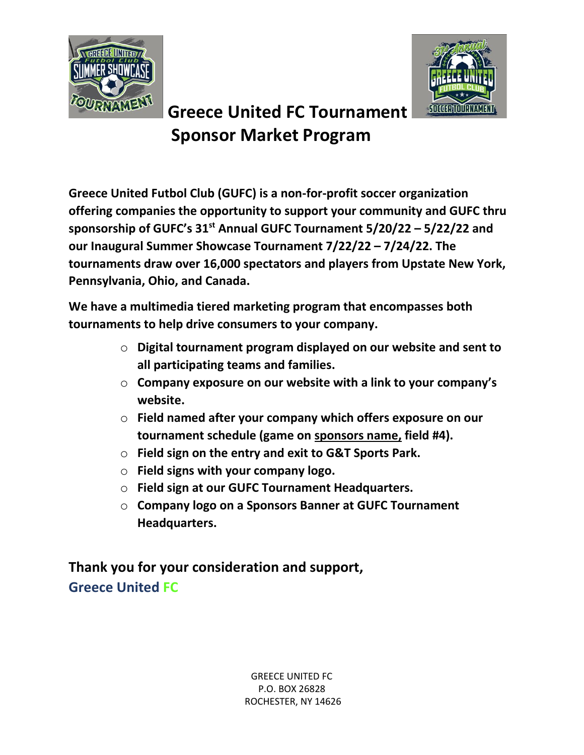



# **Greece United FC Tournament Sponsor Market Program**

**Greece United Futbol Club (GUFC) is a non-for-profit soccer organization offering companies the opportunity to support your community and GUFC thru sponsorship of GUFC's 31st Annual GUFC Tournament 5/20/22 – 5/22/22 and our Inaugural Summer Showcase Tournament 7/22/22 – 7/24/22. The tournaments draw over 16,000 spectators and players from Upstate New York, Pennsylvania, Ohio, and Canada.**

**We have a multimedia tiered marketing program that encompasses both tournaments to help drive consumers to your company.** 

- o **Digital tournament program displayed on our website and sent to all participating teams and families.**
- o **Company exposure on our website with a link to your company's website.**
- o **Field named after your company which offers exposure on our tournament schedule (game on sponsors name, field #4).**
- o **Field sign on the entry and exit to G&T Sports Park.**
- o **Field signs with your company logo.**
- o **Field sign at our GUFC Tournament Headquarters.**
- o **Company logo on a Sponsors Banner at GUFC Tournament Headquarters.**

**Thank you for your consideration and support, Greece United FC**

> GREECE UNITED FC P.O. BOX 26828 ROCHESTER, NY 14626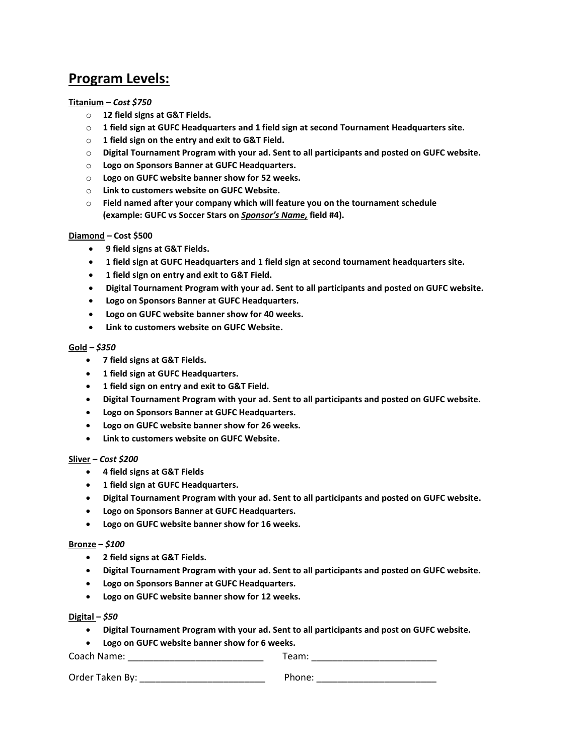# **Program Levels:**

#### **Titanium –** *Cost \$750*

- o **12 field signs at G&T Fields.**
- o **1 field sign at GUFC Headquarters and 1 field sign at second Tournament Headquarters site.**
- o **1 field sign on the entry and exit to G&T Field.**
- o **Digital Tournament Program with your ad. Sent to all participants and posted on GUFC website.**
- o **Logo on Sponsors Banner at GUFC Headquarters.**
- o **Logo on GUFC website banner show for 52 weeks.**
- o **Link to customers website on GUFC Website.**
- o **Field named after your company which will feature you on the tournament schedule (example: GUFC vs Soccer Stars on** *Sponsor's Name,* **field #4).**

#### **Diamond – Cost \$500**

- **9 field signs at G&T Fields.**
- **1 field sign at GUFC Headquarters and 1 field sign at second tournament headquarters site.**
- **1 field sign on entry and exit to G&T Field.**
- **Digital Tournament Program with your ad. Sent to all participants and posted on GUFC website.**
- **Logo on Sponsors Banner at GUFC Headquarters.**
- **Logo on GUFC website banner show for 40 weeks.**
- **Link to customers website on GUFC Website.**

#### **Gold –** *\$350*

- **7 field signs at G&T Fields.**
- **1 field sign at GUFC Headquarters.**
- **1 field sign on entry and exit to G&T Field.**
- **Digital Tournament Program with your ad. Sent to all participants and posted on GUFC website.**
- **Logo on Sponsors Banner at GUFC Headquarters.**
- **Logo on GUFC website banner show for 26 weeks.**
- **Link to customers website on GUFC Website.**

#### **Sliver –** *Cost \$200*

- **4 field signs at G&T Fields**
- **1 field sign at GUFC Headquarters.**
- **Digital Tournament Program with your ad. Sent to all participants and posted on GUFC website.**
- **Logo on Sponsors Banner at GUFC Headquarters.**
- **Logo on GUFC website banner show for 16 weeks.**

#### **Bronze –** *\$100*

- **2 field signs at G&T Fields.**
- **Digital Tournament Program with your ad. Sent to all participants and posted on GUFC website.**
- **Logo on Sponsors Banner at GUFC Headquarters.**
- **Logo on GUFC website banner show for 12 weeks.**

#### **Digital –** *\$50*

• **Digital Tournament Program with your ad. Sent to all participants and post on GUFC website.**

• **Logo on GUFC website banner show for 6 weeks.**

Coach Name: \_\_\_\_\_\_\_\_\_\_\_\_\_\_\_\_\_\_\_\_\_\_\_\_\_\_ Team: \_\_\_\_\_\_\_\_\_\_\_\_\_\_\_\_\_\_\_\_\_\_\_\_

Order Taken By: \_\_\_\_\_\_\_\_\_\_\_\_\_\_\_\_\_\_\_\_\_\_\_\_ Phone: \_\_\_\_\_\_\_\_\_\_\_\_\_\_\_\_\_\_\_\_\_\_\_